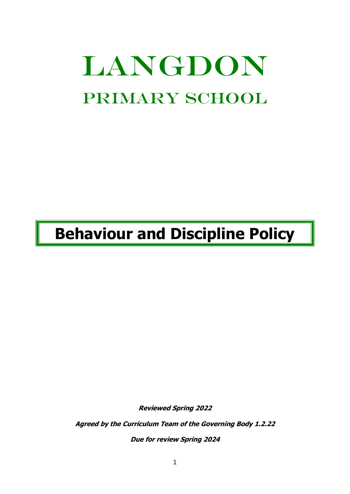# LANGDON PRIMARY SCHOOL

## **Behaviour and Discipline Policy**

**Reviewed Spring 2022**

**Agreed by the Curriculum Team of the Governing Body 1.2.22**

**Due for review Spring 2024**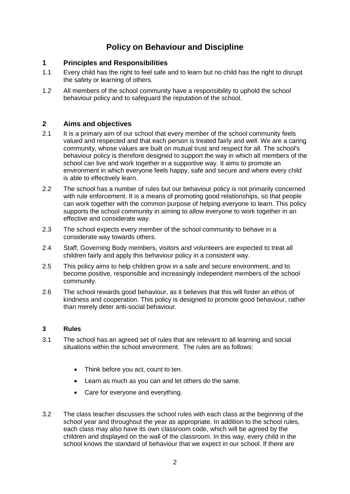### **Policy on Behaviour and Discipline**

#### **1 Principles and Responsibilities**

- 1.1 Every child has the right to feel safe and to learn but no child has the right to disrupt the safety or learning of others.
- 1.2 All members of the school community have a responsibility to uphold the school behaviour policy and to safeguard the reputation of the school.

#### **2 Aims and objectives**

- 2.1 It is a primary aim of our school that every member of the school community feels valued and respected and that each person is treated fairly and well. We are a caring community, whose values are built on mutual trust and respect for all. The school's behaviour policy is therefore designed to support the way in which all members of the school can live and work together in a supportive way. It aims to promote an environment in which everyone feels happy, safe and secure and where every child is able to effectively learn.
- 2.2 The school has a number of rules but our behaviour policy is not primarily concerned with rule enforcement. It is a means of promoting good relationships, so that people can work together with the common purpose of helping everyone to learn. This policy supports the school community in aiming to allow everyone to work together in an effective and considerate way.
- 2.3 The school expects every member of the school community to behave in a considerate way towards others.
- 2.4 Staff, Governing Body members, visitors and volunteers are expected to treat all children fairly and apply this behaviour policy in a consistent way.
- 2.5 This policy aims to help children grow in a safe and secure environment, and to become positive, responsible and increasingly independent members of the school community.
- 2.6 The school rewards good behaviour, as it believes that this will foster an ethos of kindness and cooperation. This policy is designed to promote good behaviour, rather than merely deter anti-social behaviour.

#### **3 Rules**

- 3.1 The school has an agreed set of rules that are relevant to all learning and social situations within the school environment. The rules are as follows:
	- Think before you act, count to ten.
	- Learn as much as you can and let others do the same.
	- Care for everyone and everything.
- 3.2 The class teacher discusses the school rules with each class at the beginning of the school year and throughout the year as appropriate. In addition to the school rules, each class may also have its own classroom code, which will be agreed by the children and displayed on the wall of the classroom. In this way, every child in the school knows the standard of behaviour that we expect in our school. If there are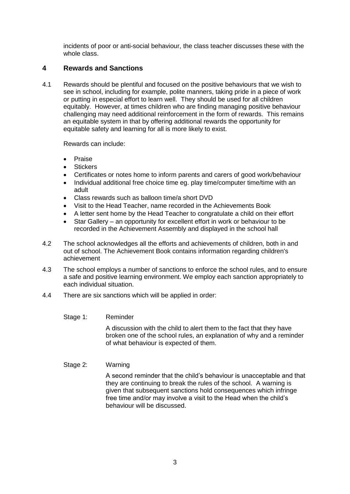incidents of poor or anti-social behaviour, the class teacher discusses these with the whole class.

#### **4 Rewards and Sanctions**

4.1 Rewards should be plentiful and focused on the positive behaviours that we wish to see in school, including for example, polite manners, taking pride in a piece of work or putting in especial effort to learn well. They should be used for all children equitably. However, at times children who are finding managing positive behaviour challenging may need additional reinforcement in the form of rewards. This remains an equitable system in that by offering additional rewards the opportunity for equitable safety and learning for all is more likely to exist.

Rewards can include:

- Praise
- **Stickers**
- Certificates or notes home to inform parents and carers of good work/behaviour
- Individual additional free choice time eg. play time/computer time/time with an adult
- Class rewards such as balloon time/a short DVD
- Visit to the Head Teacher, name recorded in the Achievements Book
- A letter sent home by the Head Teacher to congratulate a child on their effort
- Star Gallery an opportunity for excellent effort in work or behaviour to be recorded in the Achievement Assembly and displayed in the school hall
- 4.2 The school acknowledges all the efforts and achievements of children, both in and out of school. The Achievement Book contains information regarding children's achievement
- 4.3 The school employs a number of sanctions to enforce the school rules, and to ensure a safe and positive learning environment. We employ each sanction appropriately to each individual situation.
- 4.4 There are six sanctions which will be applied in order:
	- Stage 1: Reminder

A discussion with the child to alert them to the fact that they have broken one of the school rules, an explanation of why and a reminder of what behaviour is expected of them.

#### Stage 2: Warning

A second reminder that the child's behaviour is unacceptable and that they are continuing to break the rules of the school. A warning is given that subsequent sanctions hold consequences which infringe free time and/or may involve a visit to the Head when the child's behaviour will be discussed.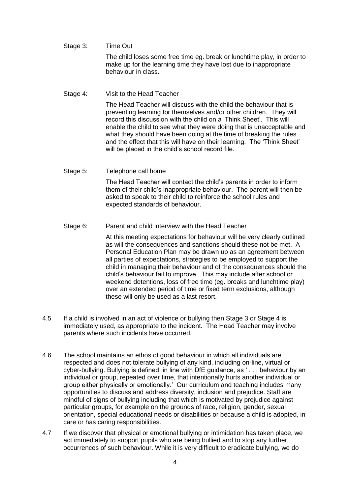- Stage 3: Time Out The child loses some free time eg. break or lunchtime play, in order to make up for the learning time they have lost due to inappropriate behaviour in class.
- Stage 4: Visit to the Head Teacher

The Head Teacher will discuss with the child the behaviour that is preventing learning for themselves and/or other children. They will record this discussion with the child on a 'Think Sheet'. This will enable the child to see what they were doing that is unacceptable and what they should have been doing at the time of breaking the rules and the effect that this will have on their learning. The 'Think Sheet' will be placed in the child's school record file.

Stage 5: Telephone call home

The Head Teacher will contact the child's parents in order to inform them of their child's inappropriate behaviour. The parent will then be asked to speak to their child to reinforce the school rules and expected standards of behaviour.

Stage 6: Parent and child interview with the Head Teacher

At this meeting expectations for behaviour will be very clearly outlined as will the consequences and sanctions should these not be met. A Personal Education Plan may be drawn up as an agreement between all parties of expectations, strategies to be employed to support the child in managing their behaviour and of the consequences should the child's behaviour fail to improve. This may include after school or weekend detentions, loss of free time (eg. breaks and lunchtime play) over an extended period of time or fixed term exclusions, although these will only be used as a last resort.

- 4.5 If a child is involved in an act of violence or bullying then Stage 3 or Stage 4 is immediately used, as appropriate to the incident. The Head Teacher may involve parents where such incidents have occurred.
- 4.6 The school maintains an ethos of good behaviour in which all individuals are respected and does not tolerate bullying of any kind, including on-line, virtual or cyber-bullying. Bullying is defined, in line with DfE guidance, as ' . . . behaviour by an individual or group, repeated over time, that intentionally hurts another individual or group either physically or emotionally.' Our curriculum and teaching includes many opportunities to discuss and address diversity, inclusion and prejudice. Staff are mindful of signs of bullying including that which is motivated by prejudice against particular groups, for example on the grounds of race, religion, gender, sexual orientation, special educational needs or disabilities or because a child is adopted, in care or has caring responsibilities.
- 4.7 If we discover that physical or emotional bullying or intimidation has taken place, we act immediately to support pupils who are being bullied and to stop any further occurrences of such behaviour. While it is very difficult to eradicate bullying, we do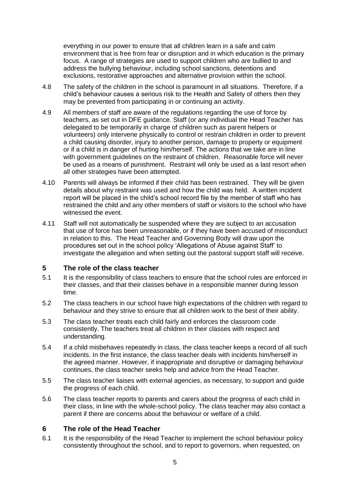everything in our power to ensure that all children learn in a safe and calm environment that is free from fear or disruption and in which education is the primary focus. A range of strategies are used to support children who are bullied to and address the bullying behaviour, including school sanctions, detentions and exclusions, restorative approaches and alternative provision within the school.

- 4.8 The safety of the children in the school is paramount in all situations. Therefore, if a child's behaviour causes a serious risk to the Health and Safety of others then they may be prevented from participating in or continuing an activity.
- 4.9 All members of staff are aware of the regulations regarding the use of force by teachers, as set out in DFE guidance. Staff (or any individual the Head Teacher has delegated to be temporarily in charge of children such as parent helpers or volunteers) only intervene physically to control or restrain children in order to prevent a child causing disorder, injury to another person, damage to property or equipment or if a child is in danger of hurting him/herself. The actions that we take are in line with government guidelines on the restraint of children. Reasonable force will never be used as a means of punishment. Restraint will only be used as a last resort when all other strategies have been attempted.
- 4.10 Parents will always be informed if their child has been restrained. They will be given details about why restraint was used and how the child was held. A written incident report will be placed in the child's school record file by the member of staff who has restrained the child and any other members of staff or visitors to the school who have witnessed the event.
- 4.11 Staff will not automatically be suspended where they are subject to an accusation that use of force has been unreasonable, or if they have been accused of misconduct in relation to this. The Head Teacher and Governing Body will draw upon the procedures set out in the school policy 'Allegations of Abuse against Staff' to investigate the allegation and when setting out the pastoral support staff will receive.

#### **5 The role of the class teacher**

- 5.1 It is the responsibility of class teachers to ensure that the school rules are enforced in their classes, and that their classes behave in a responsible manner during lesson time.
- 5.2 The class teachers in our school have high expectations of the children with regard to behaviour and they strive to ensure that all children work to the best of their ability.
- 5.3 The class teacher treats each child fairly and enforces the classroom code consistently. The teachers treat all children in their classes with respect and understanding.
- 5.4 If a child misbehaves repeatedly in class, the class teacher keeps a record of all such incidents. In the first instance, the class teacher deals with incidents him/herself in the agreed manner. However, if inappropriate and disruptive or damaging behaviour continues, the class teacher seeks help and advice from the Head Teacher.
- 5.5 The class teacher liaises with external agencies, as necessary, to support and guide the progress of each child.
- 5.6 The class teacher reports to parents and carers about the progress of each child in their class, in line with the whole-school policy. The class teacher may also contact a parent if there are concerns about the behaviour or welfare of a child.

#### **6 The role of the Head Teacher**

6.1 It is the responsibility of the Head Teacher to implement the school behaviour policy consistently throughout the school, and to report to governors, when requested, on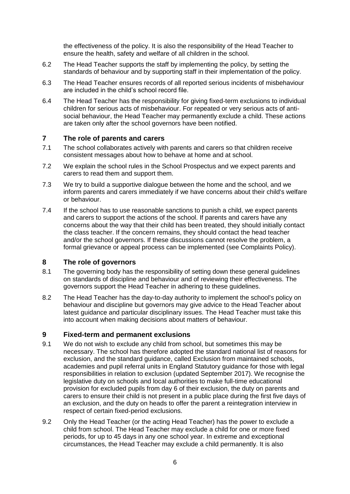the effectiveness of the policy. It is also the responsibility of the Head Teacher to ensure the health, safety and welfare of all children in the school.

- 6.2 The Head Teacher supports the staff by implementing the policy, by setting the standards of behaviour and by supporting staff in their implementation of the policy.
- 6.3 The Head Teacher ensures records of all reported serious incidents of misbehaviour are included in the child's school record file.
- 6.4 The Head Teacher has the responsibility for giving fixed-term exclusions to individual children for serious acts of misbehaviour. For repeated or very serious acts of antisocial behaviour, the Head Teacher may permanently exclude a child. These actions are taken only after the school governors have been notified.

#### **7 The role of parents and carers**

- 7.1 The school collaborates actively with parents and carers so that children receive consistent messages about how to behave at home and at school.
- 7.2 We explain the school rules in the School Prospectus and we expect parents and carers to read them and support them.
- 7.3 We try to build a supportive dialogue between the home and the school, and we inform parents and carers immediately if we have concerns about their child's welfare or behaviour.
- 7.4 If the school has to use reasonable sanctions to punish a child, we expect parents and carers to support the actions of the school. If parents and carers have any concerns about the way that their child has been treated, they should initially contact the class teacher. If the concern remains, they should contact the head teacher and/or the school governors. If these discussions cannot resolve the problem, a formal grievance or appeal process can be implemented (see Complaints Policy).

#### **8 The role of governors**

- 8.1 The governing body has the responsibility of setting down these general guidelines on standards of discipline and behaviour and of reviewing their effectiveness. The governors support the Head Teacher in adhering to these guidelines.
- 8.2 The Head Teacher has the day-to-day authority to implement the school's policy on behaviour and discipline but governors may give advice to the Head Teacher about latest guidance and particular disciplinary issues. The Head Teacher must take this into account when making decisions about matters of behaviour.

#### **9 Fixed-term and permanent exclusions**

- 9.1 We do not wish to exclude any child from school, but sometimes this may be necessary. The school has therefore adopted the standard national list of reasons for exclusion, and the standard guidance, called Exclusion from maintained schools, academies and pupil referral units in England Statutory guidance for those with legal responsibilities in relation to exclusion (updated September 2017). We recognise the legislative duty on schools and local authorities to make full-time educational provision for excluded pupils from day 6 of their exclusion, the duty on parents and carers to ensure their child is not present in a public place during the first five days of an exclusion, and the duty on heads to offer the parent a reintegration interview in respect of certain fixed-period exclusions.
- 9.2 Only the Head Teacher (or the acting Head Teacher) has the power to exclude a child from school. The Head Teacher may exclude a child for one or more fixed periods, for up to 45 days in any one school year. In extreme and exceptional circumstances, the Head Teacher may exclude a child permanently. It is also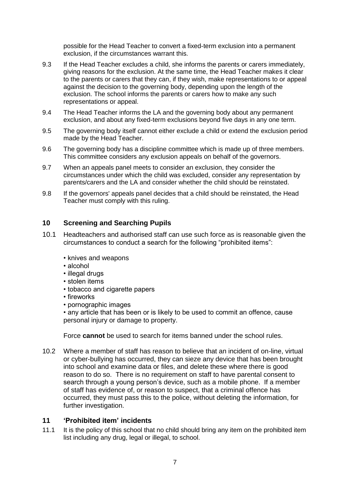possible for the Head Teacher to convert a fixed-term exclusion into a permanent exclusion, if the circumstances warrant this.

- 9.3 If the Head Teacher excludes a child, she informs the parents or carers immediately, giving reasons for the exclusion. At the same time, the Head Teacher makes it clear to the parents or carers that they can, if they wish, make representations to or appeal against the decision to the governing body, depending upon the length of the exclusion. The school informs the parents or carers how to make any such representations or appeal.
- 9.4 The Head Teacher informs the LA and the governing body about any permanent exclusion, and about any fixed-term exclusions beyond five days in any one term.
- 9.5 The governing body itself cannot either exclude a child or extend the exclusion period made by the Head Teacher.
- 9.6 The governing body has a discipline committee which is made up of three members. This committee considers any exclusion appeals on behalf of the governors.
- 9.7 When an appeals panel meets to consider an exclusion, they consider the circumstances under which the child was excluded, consider any representation by parents/carers and the LA and consider whether the child should be reinstated.
- 9.8 If the governors' appeals panel decides that a child should be reinstated, the Head Teacher must comply with this ruling.

#### **10 Screening and Searching Pupils**

- 10.1 Headteachers and authorised staff can use such force as is reasonable given the circumstances to conduct a search for the following "prohibited items":
	- knives and weapons
	- alcohol
	- illegal drugs
	- stolen items
	- tobacco and cigarette papers
	- fireworks
	- pornographic images

• any article that has been or is likely to be used to commit an offence, cause personal injury or damage to property.

Force **cannot** be used to search for items banned under the school rules.

10.2 Where a member of staff has reason to believe that an incident of on-line, virtual or cyber-bullying has occurred, they can sieze any device that has been brought into school and examine data or files, and delete these where there is good reason to do so. There is no requirement on staff to have parental consent to search through a young person's device, such as a mobile phone. If a member of staff has evidence of, or reason to suspect, that a criminal offence has occurred, they must pass this to the police, without deleting the information, for further investigation.

#### **11 'Prohibited item' incidents**

11.1 It is the policy of this school that no child should bring any item on the prohibited item list including any drug, legal or illegal, to school.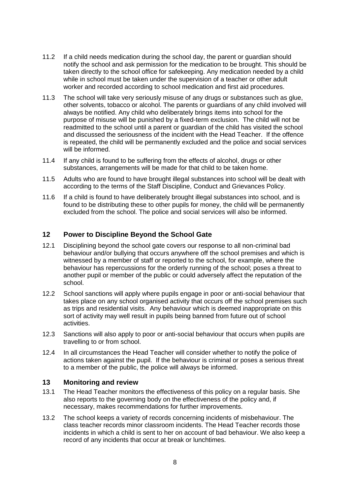- 11.2 If a child needs medication during the school day, the parent or guardian should notify the school and ask permission for the medication to be brought. This should be taken directly to the school office for safekeeping. Any medication needed by a child while in school must be taken under the supervision of a teacher or other adult worker and recorded according to school medication and first aid procedures.
- 11.3 The school will take very seriously misuse of any drugs or substances such as glue, other solvents, tobacco or alcohol. The parents or guardians of any child involved will always be notified. Any child who deliberately brings items into school for the purpose of misuse will be punished by a fixed-term exclusion. The child will not be readmitted to the school until a parent or guardian of the child has visited the school and discussed the seriousness of the incident with the Head Teacher. If the offence is repeated, the child will be permanently excluded and the police and social services will be informed.
- 11.4 If any child is found to be suffering from the effects of alcohol, drugs or other substances, arrangements will be made for that child to be taken home.
- 11.5 Adults who are found to have brought illegal substances into school will be dealt with according to the terms of the Staff Discipline, Conduct and Grievances Policy.
- 11.6 If a child is found to have deliberately brought illegal substances into school, and is found to be distributing these to other pupils for money, the child will be permanently excluded from the school. The police and social services will also be informed.

#### **12 Power to Discipline Beyond the School Gate**

- 12.1 Disciplining beyond the school gate covers our response to all non-criminal bad behaviour and/or bullying that occurs anywhere off the school premises and which is witnessed by a member of staff or reported to the school, for example, where the behaviour has repercussions for the orderly running of the school; poses a threat to another pupil or member of the public or could adversely affect the reputation of the school.
- 12.2 School sanctions will apply where pupils engage in poor or anti-social behaviour that takes place on any school organised activity that occurs off the school premises such as trips and residential visits. Any behaviour which is deemed inappropriate on this sort of activity may well result in pupils being banned from future out of school activities.
- 12.3 Sanctions will also apply to poor or anti-social behaviour that occurs when pupils are travelling to or from school.
- 12.4 In all circumstances the Head Teacher will consider whether to notify the police of actions taken against the pupil. If the behaviour is criminal or poses a serious threat to a member of the public, the police will always be informed.

#### **13 Monitoring and review**

- 13.1 The Head Teacher monitors the effectiveness of this policy on a regular basis. She also reports to the governing body on the effectiveness of the policy and, if necessary, makes recommendations for further improvements.
- 13.2 The school keeps a variety of records concerning incidents of misbehaviour. The class teacher records minor classroom incidents. The Head Teacher records those incidents in which a child is sent to her on account of bad behaviour. We also keep a record of any incidents that occur at break or lunchtimes.